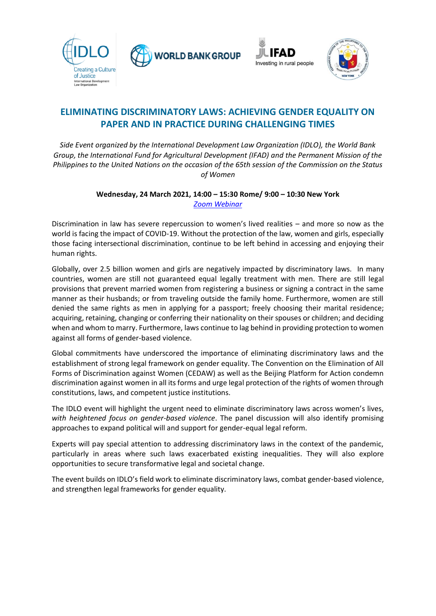





## **ELIMINATING DISCRIMINATORY LAWS: ACHIEVING GENDER EQUALITY ON PAPER AND IN PRACTICE DURING CHALLENGING TIMES**

*Side Event organized by the International Development Law Organization (IDLO), the World Bank Group, the International Fund for Agricultural Development (IFAD) and the Permanent Mission of the Philippines to the United Nations on the occasion of the 65th session of the Commission on the Status of Women*

> **Wednesday, 24 March 2021, 14:00 – 15:30 Rome/ 9:00 – 10:30 New York**  *Zoom [Webinar](https://zoom.us/webinar/register/WN_cmBSbin8QtmYQlVDr9aNAw)*

Discrimination in law has severe repercussion to women's lived realities – and more so now as the world is facing the impact of COVID-19. Without the protection of the law, women and girls, especially those facing intersectional discrimination, continue to be left behind in accessing and enjoying their human rights.

Globally, over 2.5 billion women and girls are negatively impacted by discriminatory laws. In many countries, women are still not guaranteed equal legally treatment with men. There are still legal provisions that prevent married women from registering a business or signing a contract in the same manner as their husbands; or from traveling outside the family home. Furthermore, women are still denied the same rights as men in applying for a passport; freely choosing their marital residence; acquiring, retaining, changing or conferring their nationality on their spouses or children; and deciding when and whom to marry. Furthermore, laws continue to lag behind in providing protection to women against all forms of gender-based violence.

Global commitments have underscored the importance of eliminating discriminatory laws and the establishment of strong legal framework on gender equality. The Convention on the Elimination of All Forms of Discrimination against Women (CEDAW) as well as the Beijing Platform for Action condemn discrimination against women in all its forms and urge legal protection of the rights of women through constitutions, laws, and competent justice institutions.

The IDLO event will highlight the urgent need to eliminate discriminatory laws across women's lives, *with heightened focus on gender-based violence*. The panel discussion will also identify promising approaches to expand political will and support for gender-equal legal reform.

Experts will pay special attention to addressing discriminatory laws in the context of the pandemic, particularly in areas where such laws exacerbated existing inequalities. They will also explore opportunities to secure transformative legal and societal change.

The event builds on IDLO's field work to eliminate discriminatory laws, combat gender-based violence, and strengthen legal frameworks for gender equality.